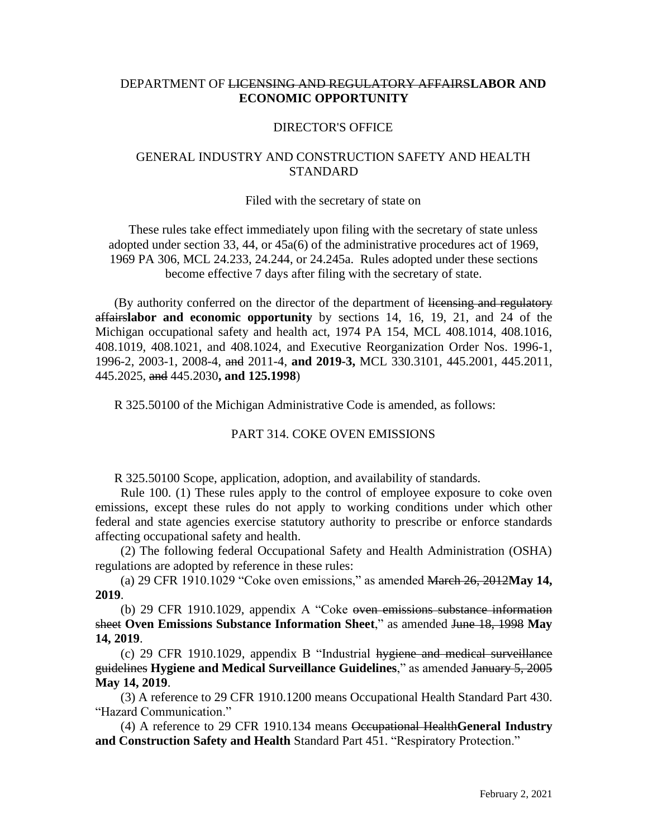# DEPARTMENT OF LICENSING AND REGULATORY AFFAIRS**LABOR AND ECONOMIC OPPORTUNITY**

### DIRECTOR'S OFFICE

## GENERAL INDUSTRY AND CONSTRUCTION SAFETY AND HEALTH **STANDARD**

#### Filed with the secretary of state on

These rules take effect immediately upon filing with the secretary of state unless adopted under section 33, 44, or 45a(6) of the administrative procedures act of 1969, 1969 PA 306, MCL 24.233, 24.244, or 24.245a. Rules adopted under these sections become effective 7 days after filing with the secretary of state.

(By authority conferred on the director of the department of licensing and regulatory affairs**labor and economic opportunity** by sections 14, 16, 19, 21, and 24 of the Michigan occupational safety and health act, 1974 PA 154, MCL 408.1014, 408.1016, 408.1019, 408.1021, and 408.1024, and Executive Reorganization Order Nos. 1996-1, 1996-2, 2003-1, 2008-4, and 2011-4, **and 2019-3,** MCL 330.3101, 445.2001, 445.2011, 445.2025, and 445.2030**, and 125.1998**)

R 325.50100 of the Michigan Administrative Code is amended, as follows:

#### PART 314. COKE OVEN EMISSIONS

R 325.50100 Scope, application, adoption, and availability of standards.

 Rule 100. (1) These rules apply to the control of employee exposure to coke oven emissions, except these rules do not apply to working conditions under which other federal and state agencies exercise statutory authority to prescribe or enforce standards affecting occupational safety and health.

 (2) The following federal Occupational Safety and Health Administration (OSHA) regulations are adopted by reference in these rules:

 (a) 29 CFR 1910.1029 "Coke oven emissions," as amended March 26, 2012**May 14, 2019**.

 (b) 29 CFR 1910.1029, appendix A "Coke oven emissions substance information sheet **Oven Emissions Substance Information Sheet**," as amended June 18, 1998 **May 14, 2019**.

 (c) 29 CFR 1910.1029, appendix B "Industrial hygiene and medical surveillance guidelines **Hygiene and Medical Surveillance Guidelines**," as amended January 5, 2005 **May 14, 2019**.

 (3) A reference to 29 CFR 1910.1200 means Occupational Health Standard Part 430. "Hazard Communication."

 (4) A reference to 29 CFR 1910.134 means Occupational Health**General Industry and Construction Safety and Health** Standard Part 451. "Respiratory Protection."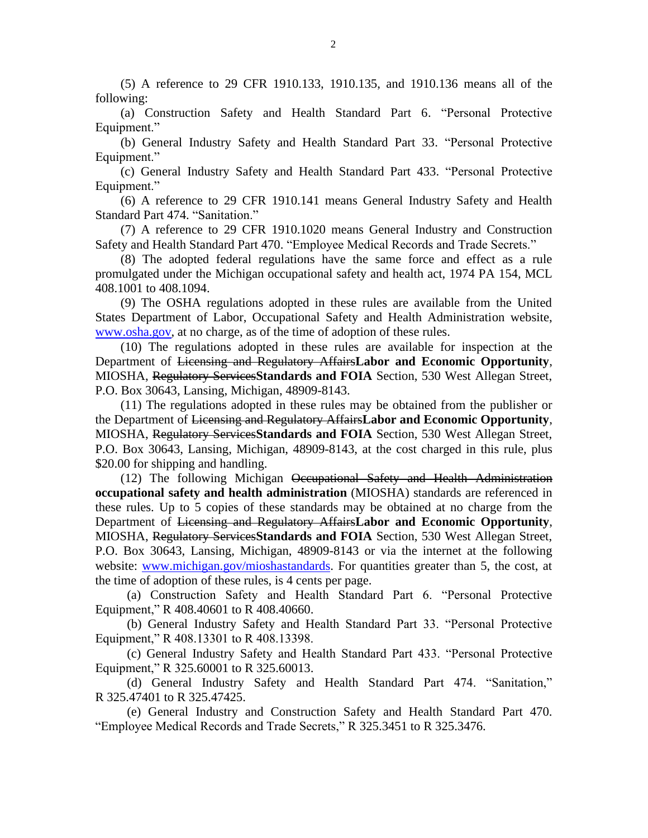(5) A reference to 29 CFR 1910.133, 1910.135, and 1910.136 means all of the following:

 (a) Construction Safety and Health Standard Part 6. "Personal Protective Equipment."

 (b) General Industry Safety and Health Standard Part 33. "Personal Protective Equipment."

 (c) General Industry Safety and Health Standard Part 433. "Personal Protective Equipment."

 (6) A reference to 29 CFR 1910.141 means General Industry Safety and Health Standard Part 474. "Sanitation."

 (7) A reference to 29 CFR 1910.1020 means General Industry and Construction Safety and Health Standard Part 470. "Employee Medical Records and Trade Secrets."

(8) The adopted federal regulations have the same force and effect as a rule promulgated under the Michigan occupational safety and health act, 1974 PA 154, MCL 408.1001 to 408.1094.

 (9) The OSHA regulations adopted in these rules are available from the United States Department of Labor, Occupational Safety and Health Administration website, [www.osha.gov,](http://www.osha.gov/) at no charge, as of the time of adoption of these rules.

 (10) The regulations adopted in these rules are available for inspection at the Department of Licensing and Regulatory Affairs**Labor and Economic Opportunity**, MIOSHA, Regulatory Services**Standards and FOIA** Section, 530 West Allegan Street, P.O. Box 30643, Lansing, Michigan, 48909-8143.

 (11) The regulations adopted in these rules may be obtained from the publisher or the Department of Licensing and Regulatory Affairs**Labor and Economic Opportunity**, MIOSHA, Regulatory Services**Standards and FOIA** Section, 530 West Allegan Street, P.O. Box 30643, Lansing, Michigan, 48909-8143, at the cost charged in this rule, plus \$20.00 for shipping and handling.

 (12) The following Michigan Occupational Safety and Health Administration **occupational safety and health administration** (MIOSHA) standards are referenced in these rules. Up to 5 copies of these standards may be obtained at no charge from the Department of Licensing and Regulatory Affairs**Labor and Economic Opportunity**, MIOSHA, Regulatory Services**Standards and FOIA** Section, 530 West Allegan Street, P.O. Box 30643, Lansing, Michigan, 48909-8143 or via the internet at the following website: [www.michigan.gov/mioshastandards.](http://www.michigan.gov/mioshastandards) For quantities greater than 5, the cost, at the time of adoption of these rules, is 4 cents per page.

 (a) Construction Safety and Health Standard Part 6. "Personal Protective Equipment," R 408.40601 to R 408.40660.

 (b) General Industry Safety and Health Standard Part 33. "Personal Protective Equipment," R 408.13301 to R 408.13398.

 (c) General Industry Safety and Health Standard Part 433. "Personal Protective Equipment," R 325.60001 to R 325.60013.

 (d) General Industry Safety and Health Standard Part 474. "Sanitation," R 325.47401 to R 325.47425.

 (e) General Industry and Construction Safety and Health Standard Part 470. "Employee Medical Records and Trade Secrets," R 325.3451 to R 325.3476.